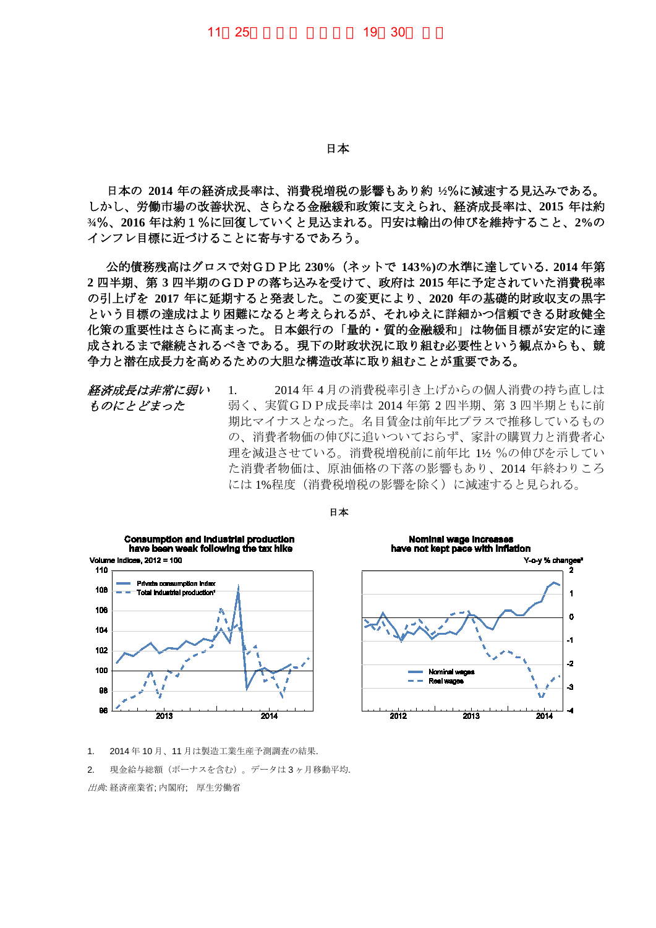日本

日本の **2014** 年の経済成長率は、消費税増税の影響もあり約 **½**%に減速する見込みである。 しかし、労働市場の改善状況、さらなる金融緩和政策に支えられ、経済成長率は、**2015** 年は約 **¾**%、**2016** 年は約1%に回復していくと見込まれる。円安は輸出の伸びを維持すること、**2%**の インフレ目標に近づけることに寄与するであろう。

公的債務残高はグロスで対GDP比 **230%**(ネットで **143%)**の水準に達している**. 2014** 年第 **2** 四半期、第 **3** 四半期のGDPの落ち込みを受けて、政府は **2015** 年に予定されていた消費税率 の引上げを **2017** 年に延期すると発表した。この変更により、**2020** 年の基礎的財政収支の黒字 という目標の達成はより困難になると考えられるが、それゆえに詳細かつ信頼できる財政健全 化策の重要性はさらに高まった。日本銀行の「量的・質的金融緩和」は物価目標が安定的に達 成されるまで継続されるべきである。現下の財政状況に取り組む必要性という観点からも、競 争力と潜在成長力を高めるための大胆な構造改革に取り組むことが重要である。

経済成長は非常に弱い ものにとどまった 1. 2014 年 4 月の消費税率引き上げからの個人消費の持ち直しは 弱く、実質GDP成長率は 2014 年第 2 四半期、第 3 四半期ともに前 期比マイナスとなった。名目賃金は前年比プラスで推移しているもの の、消費者物価の伸びに追いついておらず、家計の購買力と消費者心 理を減退させている。消費税増税前に前年比 1½ %の伸びを示してい た消費者物価は、原油価格の下落の影響もあり、2014 年終わりころ には 1%程度(消費税増税の影響を除く)に減速すると見られる。



日本



1. 2014 年 10 月、11 月は製造工業生産予測調査の結果.

2. 現金給与総額(ボーナスを含む)。データは3ヶ月移動平均.

出典: 経済産業省; 内閣府; 厚生労働省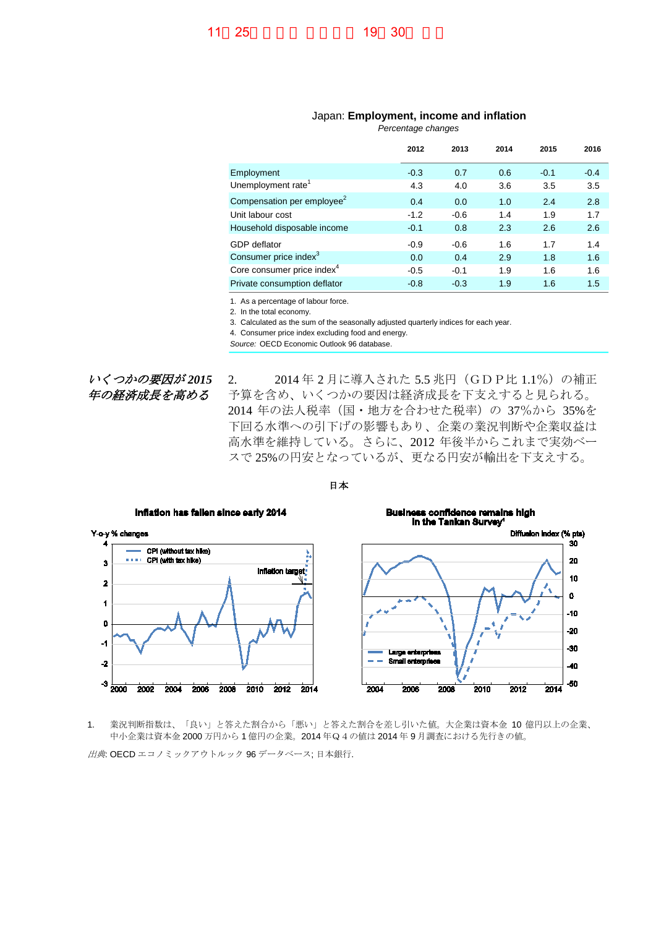## Japan: **Employment, income and inflation**

*Percentage changes*

| 2012   | 2013   | 2014 | 2015   | 2016   |
|--------|--------|------|--------|--------|
| $-0.3$ | 0.7    | 0.6  | $-0.1$ | $-0.4$ |
| 4.3    | 4.0    | 3.6  | 3.5    | 3.5    |
| 0.4    | 0.0    | 1.0  | 2.4    | 2.8    |
| $-1.2$ | $-0.6$ | 1.4  | 1.9    | 1.7    |
| $-0.1$ | 0.8    | 2.3  | 2.6    | 2.6    |
| $-0.9$ | $-0.6$ | 1.6  | 1.7    | 1.4    |
| 0.0    | 0.4    | 2.9  | 1.8    | 1.6    |
| $-0.5$ | $-0.1$ | 1.9  | 1.6    | 1.6    |
| $-0.8$ | $-0.3$ | 1.9  | 1.6    | 1.5    |
|        |        |      |        |        |

1. As a percentage of labour force.

2. In the total economy.

3. Calculated as the sum of the seasonally adjusted quarterly indices for each year.

4. Consumer price index excluding food and energy.

*Source:* OECD Economic Outlook 96 database.

いくつかの要因が *2015* 年の経済成長を高める

2. 2014年2月に導入された 5.5 兆円 (GDP比 1.1%)の補正 予算を含め、いくつかの要因は経済成長を下支えすると見られる。 2014 年の法人税率(国・地方を合わせた税率)の 37%から 35%を 下回る水準への引下げの影響もあり、企業の業況判断や企業収益は 高水準を維持している。さらに、2012 年後半からこれまで実効ベー スで 25%の円安となっているが、更なる円安が輸出を下支えする。



日本

1. 業況判断指数は、「良い」と答えた割合から「悪い」と答えた割合を差し引いた値。大企業は資本金 10 億円以上の企業、 中小企業は資本金 2000 万円から 1 億円の企業。2014 年Q4の値は 2014 年 9 月調査における先行きの値。

出典: OECD エコノミックアウトルック 96 データベース; 日本銀行.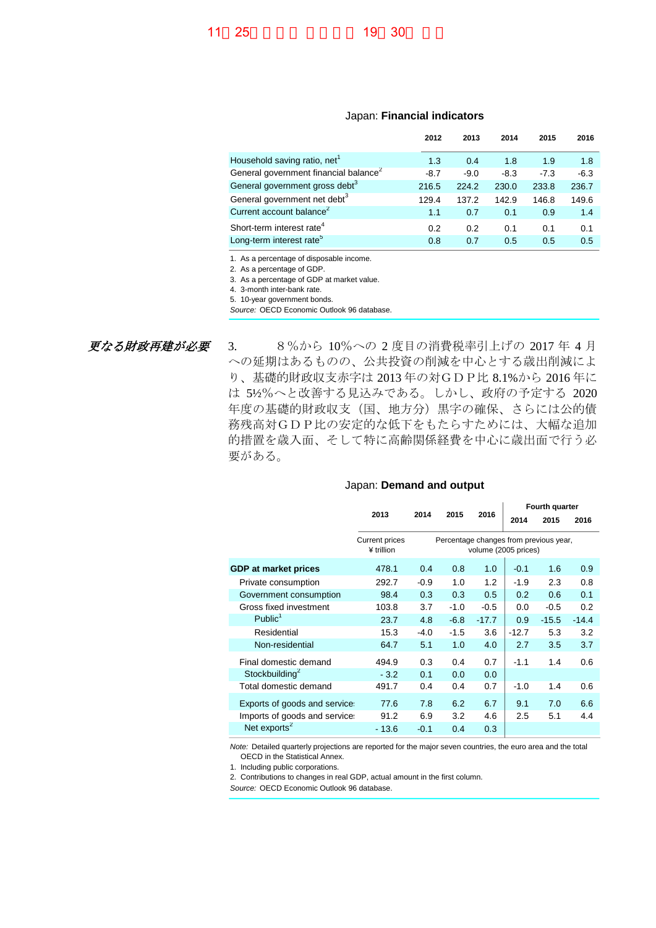## Japan: **Financial indicators**

|                                                   | 2012   | 2013   | 2014   | 2015   | 2016   |
|---------------------------------------------------|--------|--------|--------|--------|--------|
| Household saving ratio, net <sup>1</sup>          | 1.3    | 0.4    | 1.8    | 1.9    | 1.8    |
| General government financial balance <sup>2</sup> | $-8.7$ | $-9.0$ | $-8.3$ | $-7.3$ | $-6.3$ |
| General government gross debt <sup>3</sup>        | 216.5  | 224.2  | 230.0  | 233.8  | 236.7  |
| General government net debt <sup>3</sup>          | 129.4  | 137.2  | 142.9  | 146.8  | 149.6  |
| Current account balance <sup>2</sup>              | 1.1    | 0.7    | 0.1    | 0.9    | 1.4    |
| Short-term interest rate <sup>4</sup>             | 0.2    | 0.2    | 0.1    | 0.1    | 0.1    |
| Long-term interest rate <sup>5</sup>              | 0.8    | 0.7    | 0.5    | 0.5    | 0.5    |

1. As a percentage of disposable income.

2. As a percentage of GDP.

3. As a percentage of GDP at market value.

4. 3-month inter-bank rate.

5. 10-year government bonds. *Source:* OECD Economic Outlook 96 database.

更なる財政再建が必要 3. 8%から 10%への 2 度目の消費税率引上げの 2017 年 4 月 への延期はあるものの、公共投資の削減を中心とする歳出削減によ り、基礎的財政収支赤字は 2013 年の対GDP比 8.1%から 2016 年に は 5½%へと改善する見込みである。しかし、政府の予定する 2020 年度の基礎的財政収支(国、地方分)黒字の確保、さらには公的債 務残高対GDP比の安定的な低下をもたらすためには、大幅な追加 的措置を歳入面、そして特に高齢関係経費を中心に歳出面で行う必 要がある。

## Japan: **Demand and output**

|                              |                                                                      |        |         | Fourth quarter |         |         |
|------------------------------|----------------------------------------------------------------------|--------|---------|----------------|---------|---------|
|                              |                                                                      |        |         |                | 2015    | 2016    |
| Current prices<br>¥ trillion | Percentage changes from previous year,<br>volume (2005 prices)       |        |         |                |         |         |
| 478.1                        | 0.4                                                                  | 0.8    | 1.0     | $-0.1$         | 1.6     | 0.9     |
| 292.7                        | $-0.9$                                                               | 1.0    | 1.2     | $-1.9$         | 2.3     | 0.8     |
| 98.4                         | 0.3                                                                  | 0.3    | 0.5     | 0.2            | 0.6     | 0.1     |
| 103.8                        | 3.7                                                                  | $-1.0$ | $-0.5$  | 0.0            | $-0.5$  | 0.2     |
| 23.7                         | 4.8                                                                  | $-6.8$ | $-17.7$ | 0.9            | $-15.5$ | $-14.4$ |
| 15.3                         | $-4.0$                                                               | $-1.5$ | 3.6     | $-12.7$        | 5.3     | 3.2     |
| 64.7                         | 5.1                                                                  | 1.0    | 4.0     | 2.7            | 3.5     | 3.7     |
| 494.9                        | 0.3                                                                  | 0.4    | 0.7     | $-1.1$         | 1.4     | 0.6     |
| $-3.2$                       | 0.1                                                                  | 0.0    | 0.0     |                |         |         |
| 491.7                        | 0.4                                                                  | 0.4    | 0.7     | $-1.0$         | 1.4     | 0.6     |
| 77.6                         | 7.8                                                                  | 6.2    | 6.7     | 9.1            | 7.0     | 6.6     |
| 91.2                         | 6.9                                                                  | 3.2    | 4.6     | 2.5            | 5.1     | 4.4     |
| $-13.6$                      | $-0.1$                                                               | 0.4    | 0.3     |                |         |         |
|                              | 2013<br>Exports of goods and service<br>Imports of goods and service | 2014   | 2015    | 2016           | 2014    |         |

*Note:* Detailed quarterly projections are reported for the major seven countries, the euro area and the total OECD in the Statistical Annex.

1. Including public corporations.

2. Contributions to changes in real GDP, actual amount in the first column.

*Source:* OECD Economic Outlook 96 database.